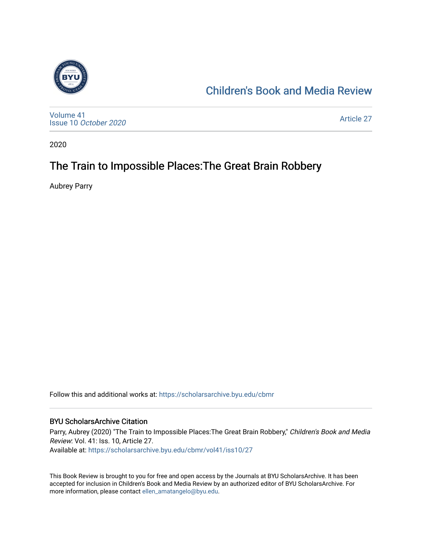

## [Children's Book and Media Review](https://scholarsarchive.byu.edu/cbmr)

[Volume 41](https://scholarsarchive.byu.edu/cbmr/vol41) Issue 10 [October 2020](https://scholarsarchive.byu.edu/cbmr/vol41/iss10)

[Article 27](https://scholarsarchive.byu.edu/cbmr/vol41/iss10/27) 

2020

# The Train to Impossible Places: The Great Brain Robbery

Aubrey Parry

Follow this and additional works at: [https://scholarsarchive.byu.edu/cbmr](https://scholarsarchive.byu.edu/cbmr?utm_source=scholarsarchive.byu.edu%2Fcbmr%2Fvol41%2Fiss10%2F27&utm_medium=PDF&utm_campaign=PDFCoverPages) 

#### BYU ScholarsArchive Citation

Parry, Aubrey (2020) "The Train to Impossible Places: The Great Brain Robbery," Children's Book and Media Review: Vol. 41: Iss. 10, Article 27. Available at: [https://scholarsarchive.byu.edu/cbmr/vol41/iss10/27](https://scholarsarchive.byu.edu/cbmr/vol41/iss10/27?utm_source=scholarsarchive.byu.edu%2Fcbmr%2Fvol41%2Fiss10%2F27&utm_medium=PDF&utm_campaign=PDFCoverPages) 

This Book Review is brought to you for free and open access by the Journals at BYU ScholarsArchive. It has been accepted for inclusion in Children's Book and Media Review by an authorized editor of BYU ScholarsArchive. For more information, please contact [ellen\\_amatangelo@byu.edu.](mailto:ellen_amatangelo@byu.edu)